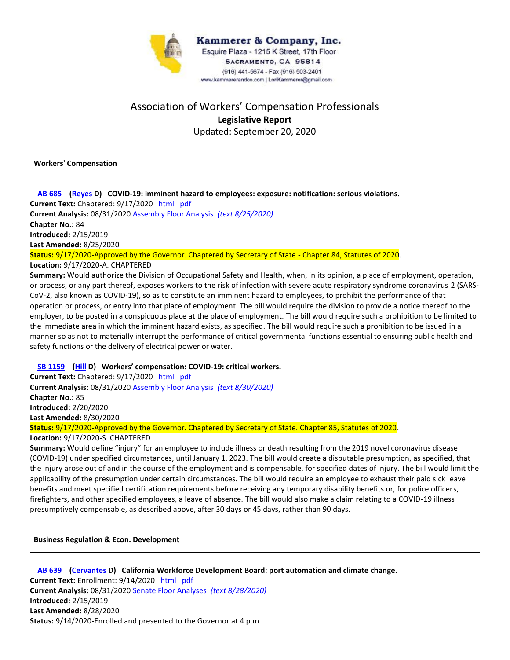

# Association of Workers' Compensation Professionals **Legislative Report** Updated: September 20, 2020

**Workers' Compensation**

#### **AB 685 (Reyes D) COVID-19: imminent hazard to employees: exposure: notification: serious violations.**

**Current Text:** Chaptered: 9/17/2020 html pdf **Current Analysis:** 08/31/2020 Assembly Floor Analysis *(text 8/25/2020)*

**Chapter No.:** 84 **Introduced:** 2/15/2019

**Last Amended:** 8/25/2020

**Status:** 9/17/2020-Approved by the Governor. Chaptered by Secretary of State - Chapter 84, Statutes of 2020. **Location:** 9/17/2020-A. CHAPTERED

**Summary:** Would authorize the Division of Occupational Safety and Health, when, in its opinion, a place of employment, operation, or process, or any part thereof, exposes workers to the risk of infection with severe acute respiratory syndrome coronavirus 2 (SARS- CoV-2, also known as COVID-19), so as to constitute an imminent hazard to employees, to prohibit the performance of that operation or process, or entry into that place of employment. The bill would require the division to provide a notice thereof to the employer, to be posted in a conspicuous place at the place of employment. The bill would require such a prohibition to be limited to the immediate area in which the imminent hazard exists, as specified. The bill would require such a prohibition to be issued in a manner so as not to materially interrupt the performance of critical governmental functions essential to ensuring public health and safety functions or the delivery of electrical power or water.

### **SB 1159 (Hill D) Workers' compensation: COVID-19: critical workers.**

**Current Text:** Chaptered: 9/17/2020 html pdf **Current Analysis:** 08/31/2020 Assembly Floor Analysis *(text 8/30/2020)* **Chapter No.:** 85 **Introduced:** 2/20/2020 **Last Amended:** 8/30/2020

**Status:** 9/17/2020-Approved by the Governor. Chaptered by Secretary of State. Chapter 85, Statutes of 2020.

**Location:** 9/17/2020-S. CHAPTERED

**Summary:** Would define "injury" for an employee to include illness or death resulting from the 2019 novel coronavirus disease (COVID-19) under specified circumstances, until January 1, 2023. The bill would create a disputable presumption, as specified, that the injury arose out of and in the course of the employment and is compensable, for specified dates of injury. The bill would limit the applicability of the presumption under certain circumstances. The bill would require an employee to exhaust their paid sick leave benefits and meet specified certification requirements before receiving any temporary disability benefits or, for police officers, firefighters, and other specified employees, a leave of absence. The bill would also make a claim relating to a COVID-19 illness presumptively compensable, as described above, after 30 days or 45 days, rather than 90 days.

**Business Regulation & Econ. Development**

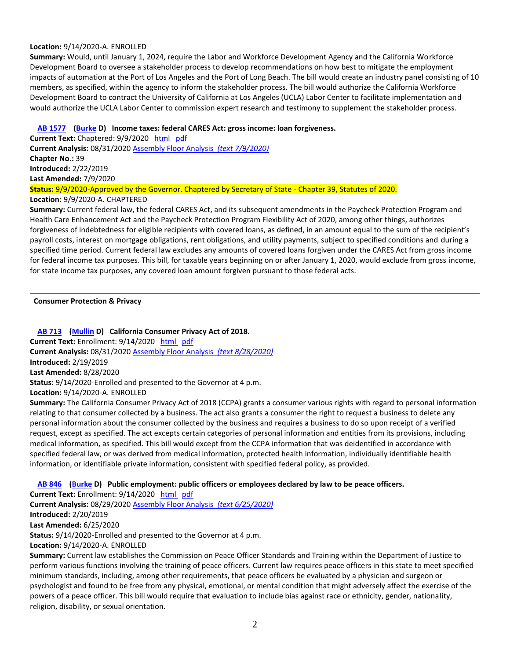#### **Location:** 9/14/2020-A. ENROLLED

**Summary:** Would, until January 1, 2024, require the Labor and Workforce Development Agency and the California Workforce Development Board to oversee a stakeholder process to develop recommendations on how best to mitigate the employment impacts of automation at the Port of Los Angeles and the Port of Long Beach. The bill would create an industry panel consisting of 10 members, as specified, within the agency to inform the stakeholder process. The bill would authorize the California Workforce Development Board to contract the University of California at Los Angeles (UCLA) Labor Center to facilitate implementation and would authorize the UCLA Labor Center to commission expert research and testimony to supplement the stakeholder process.

### **AB 1577 (Burke D) Income taxes: federal CARES Act: gross income: loan forgiveness.**

**Current Text:** Chaptered: 9/9/2020 html pdf **Current Analysis:** 08/31/2020 Assembly Floor Analysis *(text 7/9/2020)* **Chapter No.:** 39 **Introduced:** 2/22/2019 **Last Amended:** 7/9/2020 **Status:** 9/9/2020-Approved by the Governor. Chaptered by Secretary of State - Chapter 39, Statutes of 2020.

## **Location:** 9/9/2020-A. CHAPTERED

**Summary:** Current federal law, the federal CARES Act, and its subsequent amendments in the Paycheck Protection Program and Health Care Enhancement Act and the Paycheck Protection Program Flexibility Act of 2020, among other things, authorizes forgiveness of indebtedness for eligible recipients with covered loans, as defined, in an amount equal to the sum of the recipient's payroll costs, interest on mortgage obligations, rent obligations, and utility payments, subject to specified conditions and during a specified time period. Current federal law excludes any amounts of covered loans forgiven under the CARES Act from gross income for federal income tax purposes. This bill, for taxable years beginning on or after January 1, 2020, would exclude from gross income, for state income tax purposes, any covered loan amount forgiven pursuant to those federal acts.

#### **Consumer Protection & Privacy**

## **AB 713 (Mullin D) California Consumer Privacy Act of 2018.**

**Current Text:** Enrollment: 9/14/2020 html pdf **Current Analysis:** 08/31/2020 Assembly Floor Analysis *(text 8/28/2020)* **Introduced:** 2/19/2019 **Last Amended:** 8/28/2020 **Status:** 9/14/2020-Enrolled and presented to the Governor at 4 p.m. **Location:** 9/14/2020-A. ENROLLED

**Summary:** The California Consumer Privacy Act of 2018 (CCPA) grants a consumer various rights with regard to personal information relating to that consumer collected by a business. The act also grants a consumer the right to request a business to delete any personal information about the consumer collected by the business and requires a business to do so upon receipt of a verified request, except as specified. The act excepts certain categories of personal information and entities from its provisions, including medical information, as specified. This bill would except from the CCPA information that was deidentified in accordance with specified federal law, or was derived from medical information, protected health information, individually identifiable health information, or identifiable private information, consistent with specified federal policy, as provided.

### **AB 846 (Burke D) Public employment: public officers or employees declared by law to be peace officers.**

**Current Text:** Enrollment: 9/14/2020 html pdf **Current Analysis:** 08/29/2020 Assembly Floor Analysis *(text 6/25/2020)* **Introduced:** 2/20/2019 **Last Amended:** 6/25/2020 **Status:** 9/14/2020-Enrolled and presented to the Governor at 4 p.m.

**Location:** 9/14/2020-A. ENROLLED

**Summary:** Current law establishes the Commission on Peace Officer Standards and Training within the Department of Justice to perform various functions involving the training of peace officers. Current law requires peace officers in this state to meet specified minimum standards, including, among other requirements, that peace officers be evaluated by a physician and surgeon or psychologist and found to be free from any physical, emotional, or mental condition that might adversely affect the exercise of the powers of a peace officer. This bill would require that evaluation to include bias against race or ethnicity, gender, nationality, religion, disability, or sexual orientation.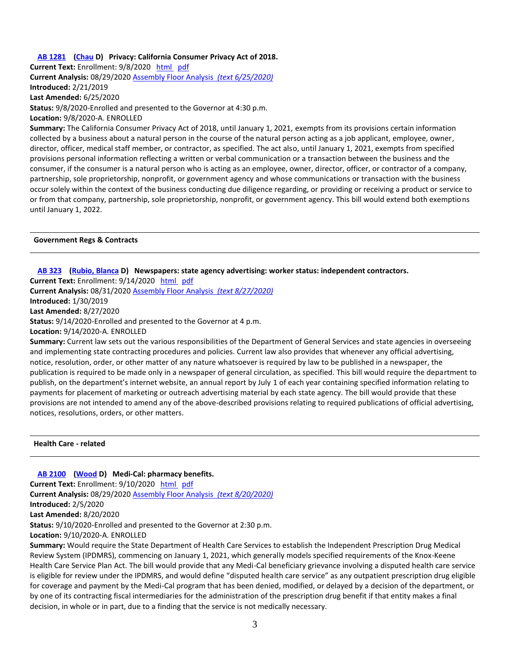### **AB 1281 (Chau D) Privacy: California Consumer Privacy Act of 2018.**

**Current Text:** Enrollment: 9/8/2020 html pdf **Current Analysis:** 08/29/2020 Assembly Floor Analysis *(text 6/25/2020)* **Introduced:** 2/21/2019 **Last Amended:** 6/25/2020 **Status:** 9/8/2020-Enrolled and presented to the Governor at 4:30 p.m. **Location:** 9/8/2020-A. ENROLLED

**Summary:** The California Consumer Privacy Act of 2018, until January 1, 2021, exempts from its provisions certain information collected by a business about a natural person in the course of the natural person acting as a job applicant, employee, owner, director, officer, medical staff member, or contractor, as specified. The act also, until January 1, 2021, exempts from specified provisions personal information reflecting a written or verbal communication or a transaction between the business and the consumer, if the consumer is a natural person who is acting as an employee, owner, director, officer, or contractor of a company, partnership, sole proprietorship, nonprofit, or government agency and whose communications or transaction with the business occur solely within the context of the business conducting due diligence regarding, or providing or receiving a product or service to or from that company, partnership, sole proprietorship, nonprofit, or government agency. This bill would extend both exemptions until January 1, 2022.

#### **Government Regs & Contracts**

#### **AB 323 (Rubio, Blanca D) Newspapers: state agency advertising: worker status: independent contractors.**

**Current Text:** Enrollment: 9/14/2020 html pdf **Current Analysis:** 08/31/2020 Assembly Floor Analysis *(text 8/27/2020)* **Introduced:** 1/30/2019 **Last Amended:** 8/27/2020 **Status:** 9/14/2020-Enrolled and presented to the Governor at 4 p.m.

**Location:** 9/14/2020-A. ENROLLED

**Summary:** Current law sets out the various responsibilities of the Department of General Services and state agencies in overseeing and implementing state contracting procedures and policies. Current law also provides that whenever any official advertising, notice, resolution, order, or other matter of any nature whatsoever is required by law to be published in a newspaper, the publication is required to be made only in a newspaper of general circulation, as specified. This bill would require the department to publish, on the department's internet website, an annual report by July 1 of each year containing specified information relating to payments for placement of marketing or outreach advertising material by each state agency. The bill would provide that these provisions are not intended to amend any of the above-described provisions relating to required publications of official advertising, notices, resolutions, orders, or other matters.

**Health Care - related**

#### **AB 2100 (Wood D) Medi-Cal: pharmacy benefits.**

**Current Text:** Enrollment: 9/10/2020 html pdf **Current Analysis:** 08/29/2020 Assembly Floor Analysis *(text 8/20/2020)* **Introduced:** 2/5/2020 **Last Amended:** 8/20/2020 **Status:** 9/10/2020-Enrolled and presented to the Governor at 2:30 p.m. **Location:** 9/10/2020-A. ENROLLED **Summary:** Would require the State Department of Health Care Services to establish the Independent Prescription Drug Medical

Review System (IPDMRS), commencing on January 1, 2021, which generally models specified requirements of the Knox-Keene Health Care Service Plan Act. The bill would provide that any Medi-Cal beneficiary grievance involving a disputed health care service is eligible for review under the IPDMRS, and would define "disputed health care service" as any outpatient prescription drug eligible for coverage and payment by the Medi-Cal program that has been denied, modified, or delayed by a decision of the department, or by one of its contracting fiscal intermediaries for the administration of the prescription drug benefit if that entity makes a final decision, in whole or in part, due to a finding that the service is not medically necessary.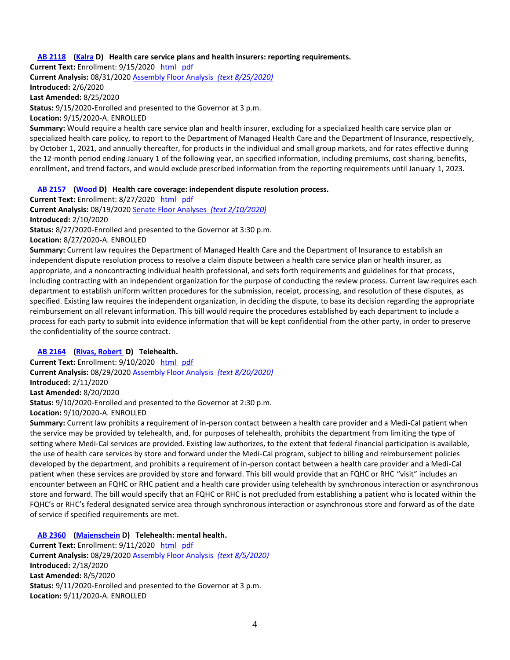#### **AB 2118 (Kalra D) Health care service plans and health insurers: reporting requirements.**

**Current Text:** Enrollment: 9/15/2020 html pdf **Current Analysis:** 08/31/2020 Assembly Floor Analysis *(text 8/25/2020)* **Introduced:** 2/6/2020 **Last Amended:** 8/25/2020 **Status:** 9/15/2020-Enrolled and presented to the Governor at 3 p.m.

**Location:** 9/15/2020-A. ENROLLED **Summary:** Would require a health care service plan and health insurer, excluding for a specialized health care service plan or specialized health care policy, to report to the Department of Managed Health Care and the Department of Insurance, respectively, by October 1, 2021, and annually thereafter, for products in the individual and small group markets, and for rates effective during the 12-month period ending January 1 of the following year, on specified information, including premiums, cost sharing, benefits, enrollment, and trend factors, and would exclude prescribed information from the reporting requirements until January 1, 2023.

#### **AB 2157 (Wood D) Health care coverage: independent dispute resolution process.**

**Current Text:** Enrollment: 8/27/2020 html pdf **Current Analysis:** 08/19/2020 Senate Floor Analyses *(text 2/10/2020)* **Introduced:** 2/10/2020 **Status:** 8/27/2020-Enrolled and presented to the Governor at 3:30 p.m.

**Location:** 8/27/2020-A. ENROLLED

**Summary:** Current law requires the Department of Managed Health Care and the Department of Insurance to establish an independent dispute resolution process to resolve a claim dispute between a health care service plan or health insurer, as appropriate, and a noncontracting individual health professional, and sets forth requirements and guidelines for that process, including contracting with an independent organization for the purpose of conducting the review process. Current law requires each department to establish uniform written procedures for the submission, receipt, processing, and resolution of these disputes, as specified. Existing law requires the independent organization, in deciding the dispute, to base its decision regarding the appropriate reimbursement on all relevant information. This bill would require the procedures established by each department to include a process for each party to submit into evidence information that will be kept confidential from the other party, in order to preserve the confidentiality of the source contract.

#### **AB 2164 (Rivas, Robert D) Telehealth.**

**Current Text:** Enrollment: 9/10/2020 html pdf **Current Analysis:** 08/29/2020 Assembly Floor Analysis *(text 8/20/2020)* **Introduced:** 2/11/2020 **Last Amended:** 8/20/2020 **Status:** 9/10/2020-Enrolled and presented to the Governor at 2:30 p.m.

**Location:** 9/10/2020-A. ENROLLED

**Summary:** Current law prohibits a requirement of in-person contact between a health care provider and a Medi-Cal patient when the service may be provided by telehealth, and, for purposes of telehealth, prohibits the department from limiting the type of setting where Medi-Cal services are provided. Existing law authorizes, to the extent that federal financial participation is available, the use of health care services by store and forward under the Medi-Cal program, subject to billing and reimbursement policies developed by the department, and prohibits a requirement of in-person contact between a health care provider and a Medi-Cal patient when these services are provided by store and forward. This bill would provide that an FQHC or RHC "visit" includes an encounter between an FQHC or RHC patient and a health care provider using telehealth by synchronous interaction or asynchronous store and forward. The bill would specify that an FQHC or RHC is not precluded from establishing a patient who is located within the FQHC's or RHC's federal designated service area through synchronous interaction or asynchronous store and forward as of the date of service if specified requirements are met.

#### **AB 2360 (Maienschein D) Telehealth: mental health.**

**Current Text:** Enrollment: 9/11/2020 html pdf **Current Analysis:** 08/29/2020 Assembly Floor Analysis *(text 8/5/2020)* **Introduced:** 2/18/2020 **Last Amended:** 8/5/2020 **Status:** 9/11/2020-Enrolled and presented to the Governor at 3 p.m. **Location:** 9/11/2020-A. ENROLLED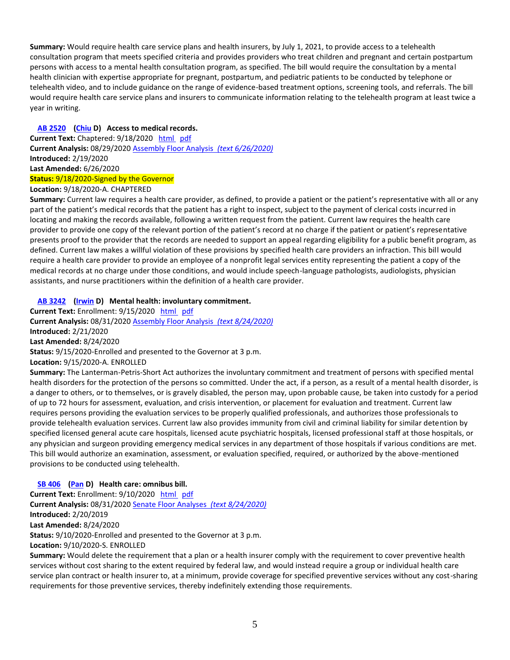**Summary:** Would require health care service plans and health insurers, by July 1, 2021, to provide access to a telehealth consultation program that meets specified criteria and provides providers who treat children and pregnant and certain postpartum persons with access to a mental health consultation program, as specified. The bill would require the consultation by a mental health clinician with expertise appropriate for pregnant, postpartum, and pediatric patients to be conducted by telephone or telehealth video, and to include guidance on the range of evidence-based treatment options, screening tools, and referrals. The bill would require health care service plans and insurers to communicate information relating to the telehealth program at least twice a year in writing.

## **AB 2520 (Chiu D) Access to medical records.**

**Current Text:** Chaptered: 9/18/2020 html pdf **Current Analysis:** 08/29/2020 Assembly Floor Analysis *(text 6/26/2020)* **Introduced:** 2/19/2020 **Last Amended:** 6/26/2020 **Status:** 9/18/2020-Signed by the Governor

**Location:** 9/18/2020-A. CHAPTERED

**Summary:** Current law requires a health care provider, as defined, to provide a patient or the patient's representative with all or any part of the patient's medical records that the patient has a right to inspect, subject to the payment of clerical costs incurred in locating and making the records available, following a written request from the patient. Current law requires the health care provider to provide one copy of the relevant portion of the patient's record at no charge if the patient or patient's representative presents proof to the provider that the records are needed to support an appeal regarding eligibility for a public benefit program, as defined. Current law makes a willful violation of these provisions by specified health care providers an infraction. This bill would require a health care provider to provide an employee of a nonprofit legal services entity representing the patient a copy of the medical records at no charge under those conditions, and would include speech-language pathologists, audiologists, physician assistants, and nurse practitioners within the definition of a health care provider.

## **AB 3242 (Irwin D) Mental health: involuntary commitment.**

**Current Text:** Enrollment: 9/15/2020 html pdf **Current Analysis:** 08/31/2020 Assembly Floor Analysis *(text 8/24/2020)* **Introduced:** 2/21/2020 **Last Amended:** 8/24/2020 **Status:** 9/15/2020-Enrolled and presented to the Governor at 3 p.m. **Location:** 9/15/2020-A. ENROLLED

**Summary:** The Lanterman-Petris-Short Act authorizes the involuntary commitment and treatment of persons with specified mental health disorders for the protection of the persons so committed. Under the act, if a person, as a result of a mental health disorder, is a danger to others, or to themselves, or is gravely disabled, the person may, upon probable cause, be taken into custody for a period of up to 72 hours for assessment, evaluation, and crisis intervention, or placement for evaluation and treatment. Current law requires persons providing the evaluation services to be properly qualified professionals, and authorizes those professionals to provide telehealth evaluation services. Current law also provides immunity from civil and criminal liability for similar detention by specified licensed general acute care hospitals, licensed acute psychiatric hospitals, licensed professional staff at those hospitals, or any physician and surgeon providing emergency medical services in any department of those hospitals if various conditions are met. This bill would authorize an examination, assessment, or evaluation specified, required, or authorized by the above-mentioned provisions to be conducted using telehealth.

### **SB 406 (Pan D) Health care: omnibus bill.**

Current Text: Enrollment: 9/10/2020 html pdf **Current Analysis:** 08/31/2020 Senate Floor Analyses *(text 8/24/2020)* **Introduced:** 2/20/2019 **Last Amended:** 8/24/2020 **Status:** 9/10/2020-Enrolled and presented to the Governor at 3 p.m. **Location:** 9/10/2020-S. ENROLLED

**Summary:** Would delete the requirement that a plan or a health insurer comply with the requirement to cover preventive health services without cost sharing to the extent required by federal law, and would instead require a group or individual health care service plan contract or health insurer to, at a minimum, provide coverage for specified preventive services without any cost-sharing requirements for those preventive services, thereby indefinitely extending those requirements.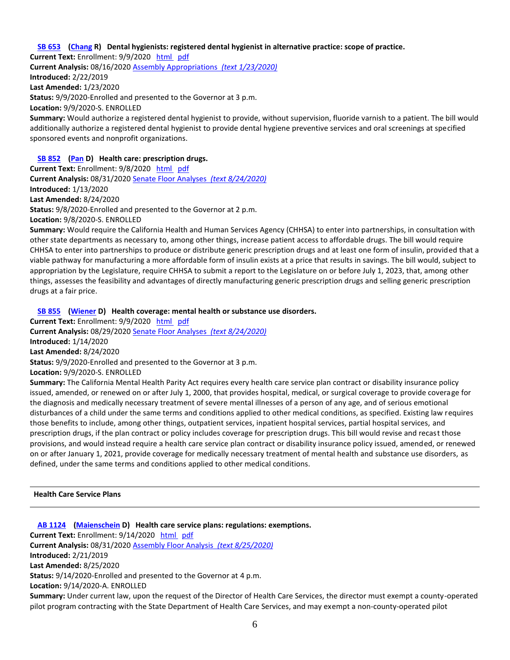#### **SB 653 (Chang R) Dental hygienists: registered dental hygienist in alternative practice: scope of practice.**

**Current Text:** Enrollment: 9/9/2020 html pdf **Current Analysis:** 08/16/2020 Assembly Appropriations *(text 1/23/2020)* **Introduced:** 2/22/2019 **Last Amended:** 1/23/2020 **Status:** 9/9/2020-Enrolled and presented to the Governor at 3 p.m. **Location:** 9/9/2020-S. ENROLLED **Summary:** Would authorize a registered dental hygienist to provide, without supervision, fluoride varnish to a patient. The bill would additionally authorize a registered dental hygienist to provide dental hygiene preventive services and oral screenings at specified sponsored events and nonprofit organizations. **SB 852 (Pan D) Health care: prescription drugs.**

**Current Text:** Enrollment: 9/8/2020 html pdf **Current Analysis:** 08/31/2020 Senate Floor Analyses *(text 8/24/2020)* **Introduced:** 1/13/2020 **Last Amended:** 8/24/2020 **Status:** 9/8/2020-Enrolled and presented to the Governor at 2 p.m. **Location:** 9/8/2020-S. ENROLLED

**Summary:** Would require the California Health and Human Services Agency (CHHSA) to enter into partnerships, in consultation with other state departments as necessary to, among other things, increase patient access to affordable drugs. The bill would require CHHSA to enter into partnerships to produce or distribute generic prescription drugs and at least one form of insulin, provided that a viable pathway for manufacturing a more affordable form of insulin exists at a price that results in savings. The bill would, subject to appropriation by the Legislature, require CHHSA to submit a report to the Legislature on or before July 1, 2023, that, among other things, assesses the feasibility and advantages of directly manufacturing generic prescription drugs and selling generic prescription drugs at a fair price.

#### **SB 855 (Wiener D) Health coverage: mental health or substance use disorders.**

**Current Text:** Enrollment: 9/9/2020 html pdf **Current Analysis:** 08/29/2020 Senate Floor Analyses *(text 8/24/2020)* **Introduced:** 1/14/2020 **Last Amended:** 8/24/2020

**Status:** 9/9/2020-Enrolled and presented to the Governor at 3 p.m.

**Location:** 9/9/2020-S. ENROLLED

**Summary:** The California Mental Health Parity Act requires every health care service plan contract or disability insurance policy issued, amended, or renewed on or after July 1, 2000, that provides hospital, medical, or surgical coverage to provide coverage for the diagnosis and medically necessary treatment of severe mental illnesses of a person of any age, and of serious emotional disturbances of a child under the same terms and conditions applied to other medical conditions, as specified. Existing law requires those benefits to include, among other things, outpatient services, inpatient hospital services, partial hospital services, and prescription drugs, if the plan contract or policy includes coverage for prescription drugs. This bill would revise and recast those provisions, and would instead require a health care service plan contract or disability insurance policy issued, amended, or renewed on or after January 1, 2021, provide coverage for medically necessary treatment of mental health and substance use disorders, as defined, under the same terms and conditions applied to other medical conditions.

**Health Care Service Plans**

**AB 1124 (Maienschein D) Health care service plans: regulations: exemptions. Current Text:** Enrollment: 9/14/2020 html pdf **Current Analysis:** 08/31/2020 Assembly Floor Analysis *(text 8/25/2020)* **Introduced:** 2/21/2019 **Last Amended:** 8/25/2020 **Status:** 9/14/2020-Enrolled and presented to the Governor at 4 p.m. **Location:** 9/14/2020-A. ENROLLED **Summary:** Under current law, upon the request of the Director of Health Care Services, the director must exempt a county-operated pilot program contracting with the State Department of Health Care Services, and may exempt a non-county-operated pilot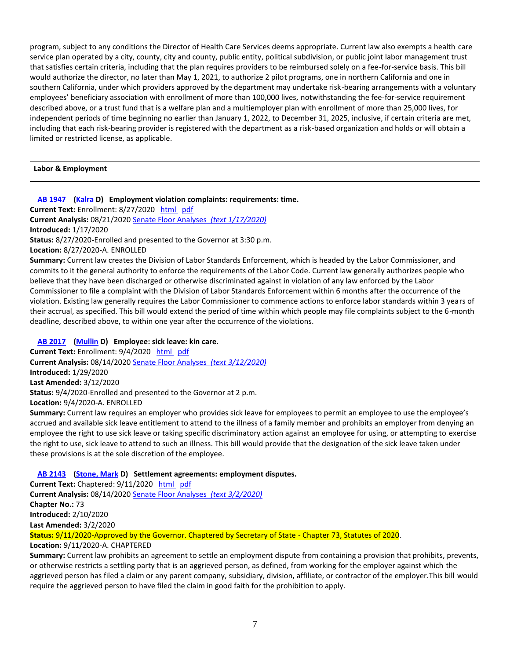program, subject to any conditions the Director of Health Care Services deems appropriate. Current law also exempts a health care service plan operated by a city, county, city and county, public entity, political subdivision, or public joint labor management trust that satisfies certain criteria, including that the plan requires providers to be reimbursed solely on a fee-for-service basis. This bill would authorize the director, no later than May 1, 2021, to authorize 2 pilot programs, one in northern California and one in southern California, under which providers approved by the department may undertake risk-bearing arrangements with a voluntary employees' beneficiary association with enrollment of more than 100,000 lives, notwithstanding the fee-for-service requirement described above, or a trust fund that is a welfare plan and a multiemployer plan with enrollment of more than 25,000 lives, for independent periods of time beginning no earlier than January 1, 2022, to December 31, 2025, inclusive, if certain criteria are met, including that each risk-bearing provider is registered with the department as a risk-based organization and holds or will obtain a limited or restricted license, as applicable.

### **Labor & Employment**

**AB 1947 (Kalra D) Employment violation complaints: requirements: time.**

**Current Text:** Enrollment: 8/27/2020 html pdf

**Current Analysis:** 08/21/2020 Senate Floor Analyses *(text 1/17/2020)*

**Introduced:** 1/17/2020

**Status:** 8/27/2020-Enrolled and presented to the Governor at 3:30 p.m.

**Location:** 8/27/2020-A. ENROLLED

**Summary:** Current law creates the Division of Labor Standards Enforcement, which is headed by the Labor Commissioner, and commits to it the general authority to enforce the requirements of the Labor Code. Current law generally authorizes people who believe that they have been discharged or otherwise discriminated against in violation of any law enforced by the Labor Commissioner to file a complaint with the Division of Labor Standards Enforcement within 6 months after the occurrence of the violation. Existing law generally requires the Labor Commissioner to commence actions to enforce labor standards within 3 years of their accrual, as specified. This bill would extend the period of time within which people may file complaints subject to the 6-month deadline, described above, to within one year after the occurrence of the violations.

### **AB 2017 (Mullin D) Employee: sick leave: kin care.**

**Current Text:** Enrollment: 9/4/2020 html pdf **Current Analysis:** 08/14/2020 Senate Floor Analyses *(text 3/12/2020)* **Introduced:** 1/29/2020 **Last Amended:** 3/12/2020 **Status:** 9/4/2020-Enrolled and presented to the Governor at 2 p.m. **Location:** 9/4/2020-A. ENROLLED

**Summary:** Current law requires an employer who provides sick leave for employees to permit an employee to use the employee's accrued and available sick leave entitlement to attend to the illness of a family member and prohibits an employer from denying an employee the right to use sick leave or taking specific discriminatory action against an employee for using, or attempting to exercise the right to use, sick leave to attend to such an illness. This bill would provide that the designation of the sick leave taken under these provisions is at the sole discretion of the employee.

### **AB 2143** (Stone, Mark D) Settlement agreements: employment disputes.

**Current Text:** Chaptered: 9/11/2020 html pdf **Current Analysis:** 08/14/2020 Senate Floor Analyses *(text 3/2/2020)* **Chapter No.:** 73 **Introduced:** 2/10/2020 **Last Amended:** 3/2/2020 **Status:** 9/11/2020-Approved by the Governor. Chaptered by Secretary of State - Chapter 73, Statutes of 2020. **Location:** 9/11/2020-A. CHAPTERED

**Summary:** Current law prohibits an agreement to settle an employment dispute from containing a provision that prohibits, prevents, or otherwise restricts a settling party that is an aggrieved person, as defined, from working for the employer against which the aggrieved person has filed a claim or any parent company, subsidiary, division, affiliate, or contractor of the employer.This bill would require the aggrieved person to have filed the claim in good faith for the prohibition to apply.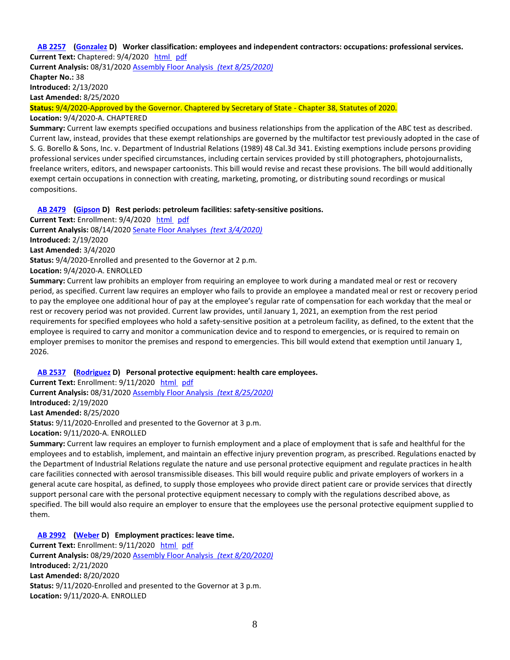#### **AB 2257 (Gonzalez D) Worker classification: employees and independent contractors: occupations: professional services. Current Text:** Chaptered: 9/4/2020 html pdf

**Current Analysis:** 08/31/2020 Assembly Floor Analysis *(text 8/25/2020)* **Chapter No.:** 38 **Introduced:** 2/13/2020 **Last Amended:** 8/25/2020

**Status:** 9/4/2020-Approved by the Governor. Chaptered by Secretary of State - Chapter 38, Statutes of 2020.

#### **Location:** 9/4/2020-A. CHAPTERED

**Summary:** Current law exempts specified occupations and business relationships from the application of the ABC test as described. Current law, instead, provides that these exempt relationships are governed by the multifactor test previously adopted in the case of S. G. Borello & Sons, Inc. v. Department of Industrial Relations (1989) 48 Cal.3d 341. Existing exemptions include persons providing professional services under specified circumstances, including certain services provided by still photographers, photojournalists, freelance writers, editors, and newspaper cartoonists. This bill would revise and recast these provisions. The bill would additionally exempt certain occupations in connection with creating, marketing, promoting, or distributing sound recordings or musical compositions.

## **AB 2479 (Gipson D) Rest periods: petroleum facilities: safety-sensitive positions.**

**Current Text:** Enrollment: 9/4/2020 html pdf **Current Analysis:** 08/14/2020 Senate Floor Analyses *(text 3/4/2020)* **Introduced:** 2/19/2020 **Last Amended:** 3/4/2020 **Status:** 9/4/2020-Enrolled and presented to the Governor at 2 p.m. **Location:** 9/4/2020-A. ENROLLED

**Summary:** Current law prohibits an employer from requiring an employee to work during a mandated meal or rest or recovery period, as specified. Current law requires an employer who fails to provide an employee a mandated meal or rest or recovery period to pay the employee one additional hour of pay at the employee's regular rate of compensation for each workday that the meal or rest or recovery period was not provided. Current law provides, until January 1, 2021, an exemption from the rest period requirements for specified employees who hold a safety-sensitive position at a petroleum facility, as defined, to the extent that the employee is required to carry and monitor a communication device and to respond to emergencies, or is required to remain on employer premises to monitor the premises and respond to emergencies. This bill would extend that exemption until January 1, 2026.

### **AB 2537 (Rodriguez D) Personal protective equipment: health care employees.**

**Current Text:** Enrollment: 9/11/2020 html pdf **Current Analysis:** 08/31/2020 Assembly Floor Analysis *(text 8/25/2020)* **Introduced:** 2/19/2020 **Last Amended:** 8/25/2020 **Status:** 9/11/2020-Enrolled and presented to the Governor at 3 p.m. **Location:** 9/11/2020-A. ENROLLED

**Summary:** Current law requires an employer to furnish employment and a place of employment that is safe and healthful for the employees and to establish, implement, and maintain an effective injury prevention program, as prescribed. Regulations enacted by the Department of Industrial Relations regulate the nature and use personal protective equipment and regulate practices in health care facilities connected with aerosol transmissible diseases. This bill would require public and private employers of workers in a general acute care hospital, as defined, to supply those employees who provide direct patient care or provide services that directly support personal care with the personal protective equipment necessary to comply with the regulations described above, as specified. The bill would also require an employer to ensure that the employees use the personal protective equipment supplied to them.

## **AB 2992 (Weber D) Employment practices: leave time.**

**Current Text:** Enrollment: 9/11/2020 html pdf **Current Analysis:** 08/29/2020 Assembly Floor Analysis *(text 8/20/2020)* **Introduced:** 2/21/2020 **Last Amended:** 8/20/2020 **Status:** 9/11/2020-Enrolled and presented to the Governor at 3 p.m. **Location:** 9/11/2020-A. ENROLLED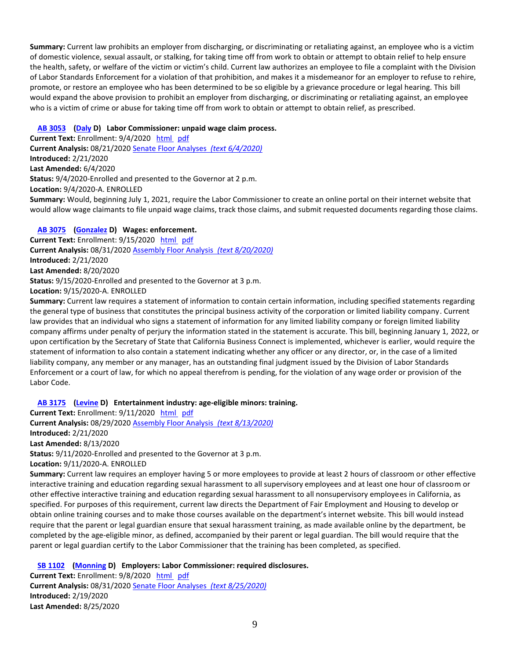**Summary:** Current law prohibits an employer from discharging, or discriminating or retaliating against, an employee who is a victim of domestic violence, sexual assault, or stalking, for taking time off from work to obtain or attempt to obtain relief to help ensure the health, safety, or welfare of the victim or victim's child. Current law authorizes an employee to file a complaint with the Division of Labor Standards Enforcement for a violation of that prohibition, and makes it a misdemeanor for an employer to refuse to rehire, promote, or restore an employee who has been determined to be so eligible by a grievance procedure or legal hearing. This bill would expand the above provision to prohibit an employer from discharging, or discriminating or retaliating against, an employee who is a victim of crime or abuse for taking time off from work to obtain or attempt to obtain relief, as prescribed.

### **AB 3053 (Daly D)Labor Commissioner: unpaid wage claim process.**

**Current Text:** Enrollment: 9/4/2020 html pdf **Current Analysis:** 08/21/2020 Senate Floor Analyses *(text 6/4/2020)* **Introduced:** 2/21/2020 **Last Amended:** 6/4/2020 **Status:** 9/4/2020-Enrolled and presented to the Governor at 2 p.m. **Location:** 9/4/2020-A. ENROLLED **Summary:** Would, beginning July 1, 2021, require the Labor Commissioner to create an online portal on their internet website that would allow wage claimants to file unpaid wage claims, track those claims, and submit requested documents regarding those claims.

## **AB 3075 (Gonzalez D) Wages: enforcement.**

**Current Text:** Enrollment: 9/15/2020 html pdf **Current Analysis:** 08/31/2020 Assembly Floor Analysis *(text 8/20/2020)* **Introduced:** 2/21/2020 **Last Amended:** 8/20/2020 **Status:** 9/15/2020-Enrolled and presented to the Governor at 3 p.m. **Location:** 9/15/2020-A. ENROLLED

**Summary:** Current law requires a statement of information to contain certain information, including specified statements regarding the general type of business that constitutes the principal business activity of the corporation or limited liability company. Current law provides that an individual who signs a statement of information for any limited liability company or foreign limited liability company affirms under penalty of perjury the information stated in the statement is accurate. This bill, beginning January 1, 2022, or upon certification by the Secretary of State that California Business Connect is implemented, whichever is earlier, would require the statement of information to also contain a statement indicating whether any officer or any director, or, in the case of a limited liability company, any member or any manager, has an outstanding final judgment issued by the Division of Labor Standards Enforcement or a court of law, for which no appeal therefrom is pending, for the violation of any wage order or provision of the Labor Code.

## **AB 3175 (Levine D) Entertainment industry: age-eligible minors: training.**

**Current Text:** Enrollment: 9/11/2020 html pdf **Current Analysis:** 08/29/2020 Assembly Floor Analysis *(text 8/13/2020)* **Introduced:** 2/21/2020 **Last Amended:** 8/13/2020 **Status:** 9/11/2020-Enrolled and presented to the Governor at 3 p.m. **Location:** 9/11/2020-A. ENROLLED

**Summary:** Current law requires an employer having 5 or more employees to provide at least 2 hours of classroom or other effective interactive training and education regarding sexual harassment to all supervisory employees and at least one hour of classroom or other effective interactive training and education regarding sexual harassment to all nonsupervisory employees in California, as specified. For purposes of this requirement, current law directs the Department of Fair Employment and Housing to develop or obtain online training courses and to make those courses available on the department's internet website. This bill would instead require that the parent or legal guardian ensure that sexual harassment training, as made available online by the department, be completed by the age-eligible minor, as defined, accompanied by their parent or legal guardian. The bill would require that the parent or legal guardian certify to the Labor Commissioner that the training has been completed, as specified.

## **SB 1102 (Monning D)** Employers: Labor Commissioner: required disclosures.

**Current Text:** Enrollment: 9/8/2020 html pdf **Current Analysis:** 08/31/2020 Senate Floor Analyses *(text 8/25/2020)* **Introduced:** 2/19/2020 **Last Amended:** 8/25/2020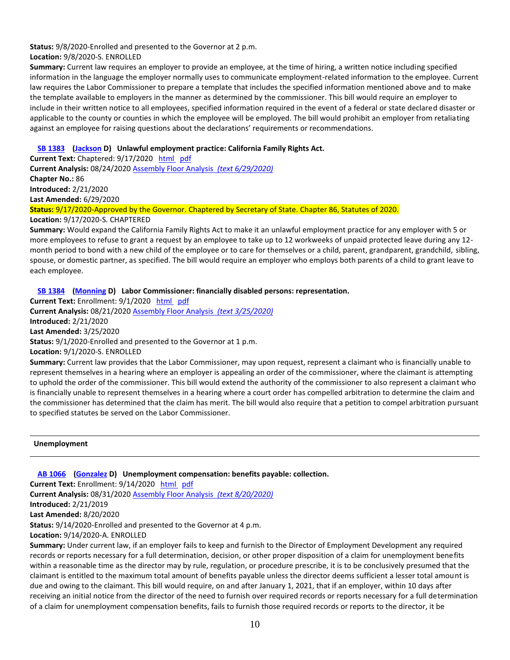### **Status:** 9/8/2020-Enrolled and presented to the Governor at 2 p.m. **Location:** 9/8/2020-S. ENROLLED

**Summary:** Current law requires an employer to provide an employee, at the time of hiring, a written notice including specified information in the language the employer normally uses to communicate employment-related information to the employee. Current law requires the Labor Commissioner to prepare a template that includes the specified information mentioned above and to make the template available to employers in the manner as determined by the commissioner. This bill would require an employer to include in their written notice to all employees, specified information required in the event of a federal or state declared disaster or applicable to the county or counties in which the employee will be employed. The bill would prohibit an employer from retaliating against an employee for raising questions about the declarations' requirements or recommendations.

## **SB 1383 (Jackson D) Unlawful employment practice: California Family Rights Act.**

**Current Text:** Chaptered: 9/17/2020 html pdf **Current Analysis:** 08/24/2020 Assembly Floor Analysis *(text 6/29/2020)* **Chapter No.:** 86 **Introduced:** 2/21/2020 **Last Amended:** 6/29/2020 **Status:** 9/17/2020-Approved by the Governor. Chaptered by Secretary of State. Chapter 86, Statutes of 2020.

**Location:** 9/17/2020-S. CHAPTERED

**Summary:** Would expand the California Family Rights Act to make it an unlawful employment practice for any employer with 5 or more employees to refuse to grant a request by an employee to take up to 12 workweeks of unpaid protected leave during any 12 month period to bond with a new child of the employee or to care for themselves or a child, parent, grandparent, grandchild, sibling, spouse, or domestic partner, as specified. The bill would require an employer who employs both parents of a child to grant leave to each employee.

## **SB 1384 (Monning D)Labor Commissioner: financially disabled persons: representation.**

**Current Text:** Enrollment: 9/1/2020 html pdf **Current Analysis:** 08/21/2020 Assembly Floor Analysis *(text 3/25/2020)* **Introduced:** 2/21/2020 **Last Amended:** 3/25/2020 **Status:** 9/1/2020-Enrolled and presented to the Governor at 1 p.m. **Location:** 9/1/2020-S. ENROLLED

**Summary:** Current law provides that the Labor Commissioner, may upon request, represent a claimant who is financially unable to represent themselves in a hearing where an employer is appealing an order of the commissioner, where the claimant is attempting to uphold the order of the commissioner. This bill would extend the authority of the commissioner to also represent a claimant who is financially unable to represent themselves in a hearing where a court order has compelled arbitration to determine the claim and the commissioner has determined that the claim has merit. The bill would also require that a petition to compel arbitration pursuant to specified statutes be served on the Labor Commissioner.

**Unemployment**

**AB 1066 (Gonzalez D) Unemployment compensation: benefits payable: collection.**

**Current Text:** Enrollment: 9/14/2020 html pdf

**Current Analysis:** 08/31/2020 Assembly Floor Analysis *(text 8/20/2020)*

**Introduced:** 2/21/2019

**Last Amended:** 8/20/2020

**Status:** 9/14/2020-Enrolled and presented to the Governor at 4 p.m.

**Location:** 9/14/2020-A. ENROLLED

**Summary:** Under current law, if an employer fails to keep and furnish to the Director of Employment Development any required records or reports necessary for a full determination, decision, or other proper disposition of a claim for unemployment benefits within a reasonable time as the director may by rule, regulation, or procedure prescribe, it is to be conclusively presumed that the claimant is entitled to the maximum total amount of benefits payable unless the director deems sufficient a lesser total amount is due and owing to the claimant. This bill would require, on and after January 1, 2021, that if an employer, within 10 days after receiving an initial notice from the director of the need to furnish over required records or reports necessary for a full determination of a claim for unemployment compensation benefits, fails to furnish those required records or reports to the director, it be